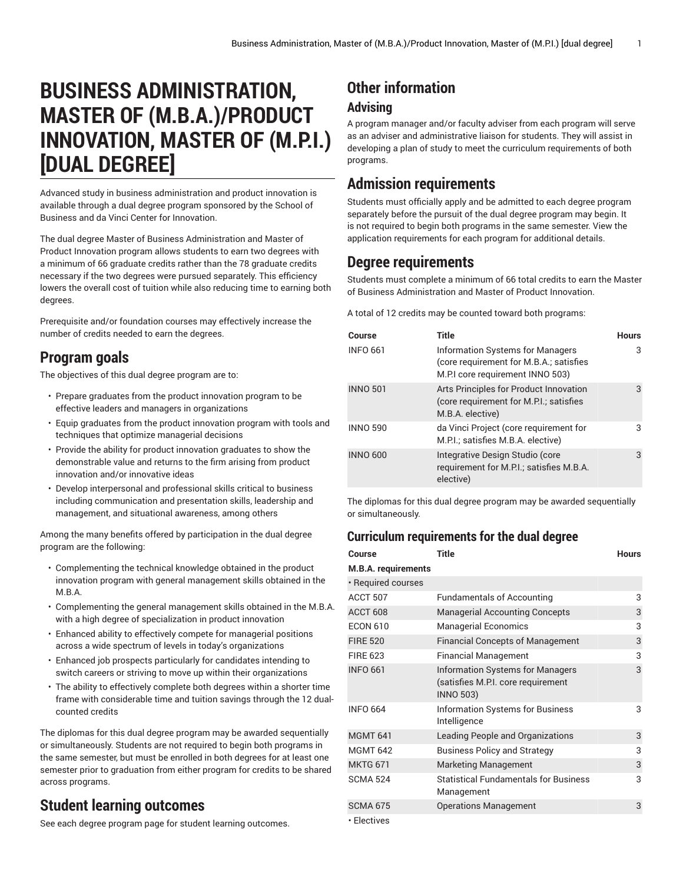# **BUSINESS ADMINISTRATION, MASTER OF (M.B.A.)/PRODUCT INNOVATION, MASTER OF (M.P.I.) [DUAL DEGREE]**

Advanced study in business administration and product innovation is available through a dual degree program sponsored by the School of Business and da Vinci Center for Innovation.

The dual degree Master of Business Administration and Master of Product Innovation program allows students to earn two degrees with a minimum of 66 graduate credits rather than the 78 graduate credits necessary if the two degrees were pursued separately. This efficiency lowers the overall cost of tuition while also reducing time to earning both degrees.

Prerequisite and/or foundation courses may effectively increase the number of credits needed to earn the degrees.

## **Program goals**

The objectives of this dual degree program are to:

- Prepare graduates from the product innovation program to be effective leaders and managers in organizations
- Equip graduates from the product innovation program with tools and techniques that optimize managerial decisions
- Provide the ability for product innovation graduates to show the demonstrable value and returns to the firm arising from product innovation and/or innovative ideas
- Develop interpersonal and professional skills critical to business including communication and presentation skills, leadership and management, and situational awareness, among others

Among the many benefits offered by participation in the dual degree program are the following:

- Complementing the technical knowledge obtained in the product innovation program with general management skills obtained in the M.B.A.
- Complementing the general management skills obtained in the M.B.A. with a high degree of specialization in product innovation
- Enhanced ability to effectively compete for managerial positions across a wide spectrum of levels in today's organizations
- Enhanced job prospects particularly for candidates intending to switch careers or striving to move up within their organizations
- The ability to effectively complete both degrees within a shorter time frame with considerable time and tuition savings through the 12 dualcounted credits

The diplomas for this dual degree program may be awarded sequentially or simultaneously. Students are not required to begin both programs in the same semester, but must be enrolled in both degrees for at least one semester prior to graduation from either program for credits to be shared across programs.

### **Student learning outcomes**

See each degree program page for student learning outcomes.

## **Other information**

#### **Advising**

A program manager and/or faculty adviser from each program will serve as an adviser and administrative liaison for students. They will assist in developing a plan of study to meet the curriculum requirements of both programs.

## **Admission requirements**

Students must officially apply and be admitted to each degree program separately before the pursuit of the dual degree program may begin. It is not required to begin both programs in the same semester. View the application requirements for each program for additional details.

### **Degree requirements**

Students must complete a minimum of 66 total credits to earn the Master of Business Administration and Master of Product Innovation.

A total of 12 credits may be counted toward both programs:

| Course          | Title                                                                                                                  | <b>Hours</b> |
|-----------------|------------------------------------------------------------------------------------------------------------------------|--------------|
| <b>INFO 661</b> | <b>Information Systems for Managers</b><br>(core requirement for M.B.A.; satisfies<br>M.P.I core requirement INNO 503) | 3            |
| <b>INNO 501</b> | Arts Principles for Product Innovation<br>(core requirement for M.P.I.; satisfies<br>M.B.A. elective)                  | 3            |
| <b>INNO 590</b> | da Vinci Project (core requirement for<br>M.P.I.; satisfies M.B.A. elective)                                           | 3            |
| <b>INNO 600</b> | Integrative Design Studio (core<br>requirement for M.P.I.; satisfies M.B.A.<br>elective)                               | 3            |

The diplomas for this dual degree program may be awarded sequentially or simultaneously.

#### **Curriculum requirements for the dual degree**

| <b>Course</b>              | <b>Title</b>                                                                               | <b>Hours</b> |
|----------------------------|--------------------------------------------------------------------------------------------|--------------|
| <b>M.B.A. requirements</b> |                                                                                            |              |
| • Required courses         |                                                                                            |              |
| ACCT 507                   | <b>Fundamentals of Accounting</b>                                                          | 3            |
| ACCT 608                   | <b>Managerial Accounting Concepts</b>                                                      | 3            |
| <b>ECON 610</b>            | <b>Managerial Economics</b>                                                                | 3            |
| <b>FIRE 520</b>            | <b>Financial Concepts of Management</b>                                                    | 3            |
| <b>FIRE 623</b>            | <b>Financial Management</b>                                                                | 3            |
| <b>INFO 661</b>            | Information Systems for Managers<br>(satisfies M.P.I. core requirement<br><b>INNO 503)</b> | 3            |
| <b>INFO 664</b>            | Information Systems for Business<br>Intelligence                                           | 3            |
| <b>MGMT 641</b>            | Leading People and Organizations                                                           | 3            |
| <b>MGMT 642</b>            | <b>Business Policy and Strategy</b>                                                        | 3            |
| <b>MKTG 671</b>            | <b>Marketing Management</b>                                                                | 3            |
| <b>SCMA 524</b>            | <b>Statistical Fundamentals for Business</b><br>Management                                 | 3            |
| <b>SCMA 675</b>            | <b>Operations Management</b>                                                               | 3            |
| • Electives                |                                                                                            |              |